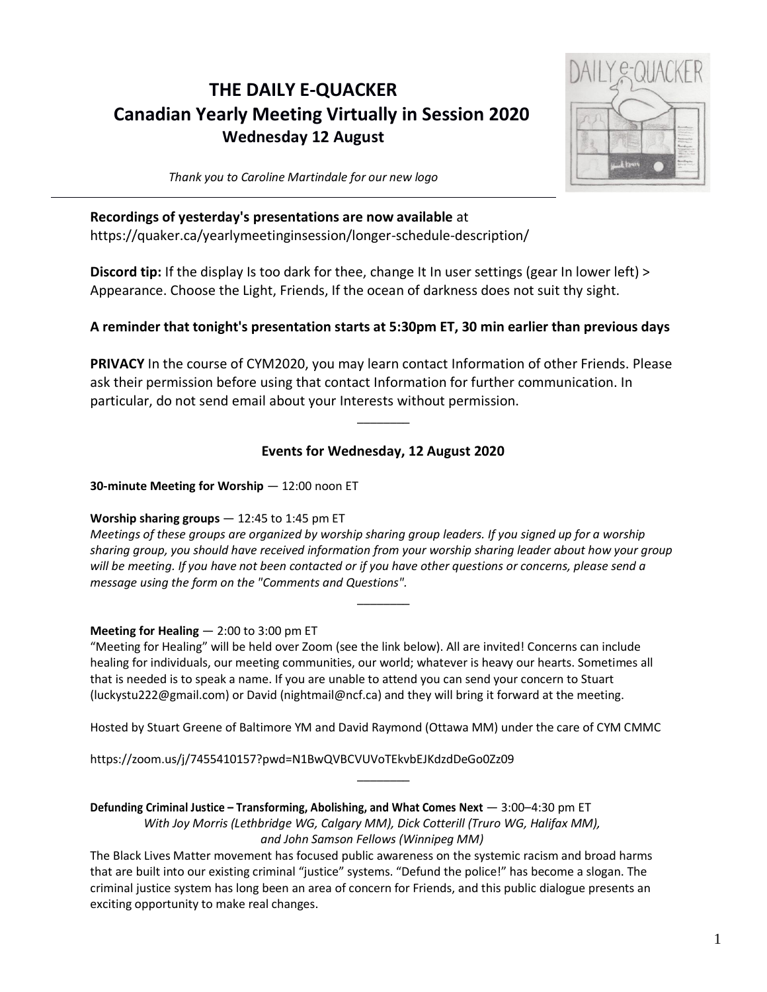# **THE DAILY E-QUACKER Canadian Yearly Meeting Virtually in Session 2020 Wednesday 12 August**



*Thank you to Caroline Martindale for our new logo*

## **Recordings of yesterday's presentations are now available** at

https://quaker.ca/yearlymeetinginsession/longer-schedule-description/

**Discord tip:** If the display Is too dark for thee, change It In user settings (gear In lower left) > Appearance. Choose the Light, Friends, If the ocean of darkness does not suit thy sight.

# **A reminder that tonight's presentation starts at 5:30pm ET, 30 min earlier than previous days**

**PRIVACY** In the course of CYM2020, you may learn contact Information of other Friends. Please ask their permission before using that contact Information for further communication. In particular, do not send email about your Interests without permission.

# **Events for Wednesday, 12 August 2020**

\_\_\_\_\_\_\_\_

**30-minute Meeting for Worship** — 12:00 noon ET

# **Worship sharing groups** — 12:45 to 1:45 pm ET

Meetings of these groups are organized by worship sharing group leaders. If you signed up for a worship *sharing group, you should have received information from your worship sharing leader about how your group* will be meeting. If you have not been contacted or if you have other questions or concerns, please send a *message using the form on the "Comments and Questions".*

\_\_\_\_\_\_\_\_

# **Meeting for Healing** — 2:00 to 3:00 pm ET

"Meeting for Healing" will be held over Zoom (see the link below). All are invited! Concerns can include healing for individuals, our meeting communities, our world; whatever is heavy our hearts. Sometimes all that is needed is to speak a name. If you are unable to attend you can send your concern to Stuart (luckystu222@gmail.com) or David (nightmail@ncf.ca) and they will bring it forward at the meeting.

Hosted by Stuart Greene of Baltimore YM and David Raymond (Ottawa MM) under the care of CYM CMMC

 $\overline{\phantom{a}}$ 

https://zoom.us/j/7455410157?pwd=N1BwQVBCVUVoTEkvbEJKdzdDeGo0Zz09

**Defunding Criminal Justice – Transforming, Abolishing, and What Comes Next** — 3:00–4:30 pm ET *With Joy Morris (Lethbridge WG, Calgary MM), Dick Cotterill (Truro WG, Halifax MM), and John Samson Fellows (Winnipeg MM)*

The Black Lives Matter movement has focused public awareness on the systemic racism and broad harms that are built into our existing criminal "justice" systems. "Defund the police!" has become a slogan. The criminal justice system has long been an area of concern for Friends, and this public dialogue presents an exciting opportunity to make real changes.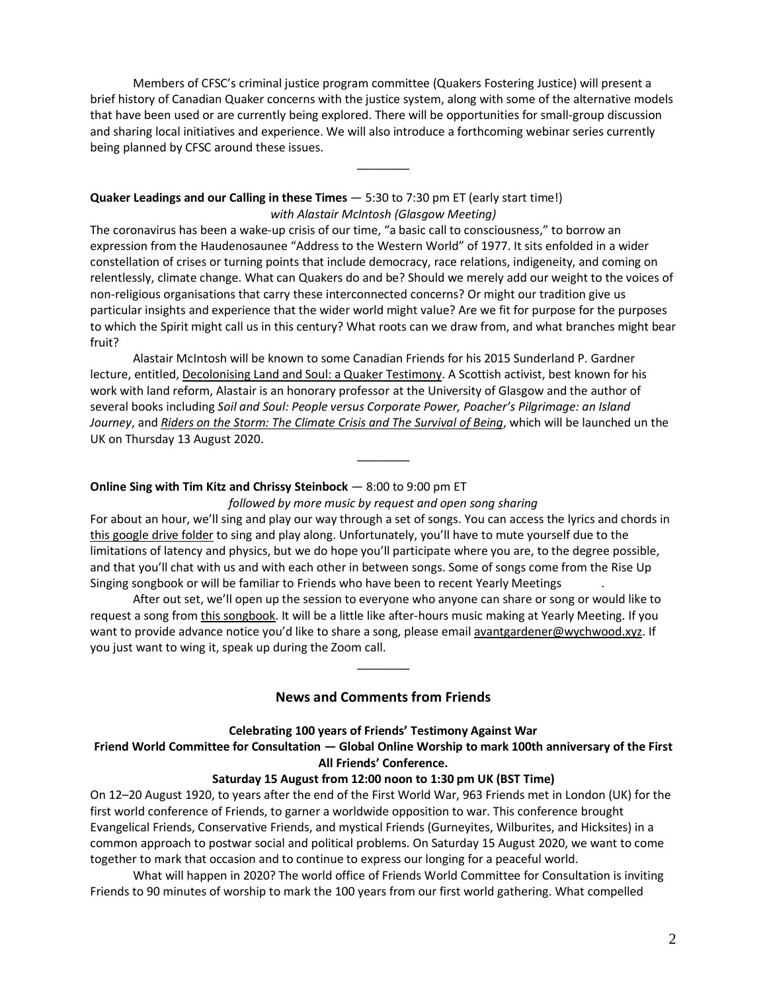Members of CFSC's criminal justice program committee (Quakers Fostering Justice) will present a brief history of Canadian Quaker concerns with the justice system, along with some of the alternative models that have been used or are currently being explored. There will be opportunities for small-group discussion and sharing local initiatives and experience. We will also introduce a forthcoming webinar series currently being planned by CFSC around these issues.

\_\_\_\_\_\_\_\_

## **Quaker Leadings and our Calling in these Times** — 5:30 to 7:30 pm ET (early start time!) *with Alastair McIntosh (Glasgow Meeting)*

The coronavirus has been a wake-up crisis of our time, "a basic call to consciousness," to borrow an expression from the Haudenosaunee "Address to the Western World" of 1977. It sits enfolded in a wider constellation of crises or turning points that include democracy, race relations, indigeneity, and coming on relentlessly, climate change. What can Quakers do and be? Should we merely add our weight to the voices of non-religious organisations that carry these interconnected concerns? Or might our tradition give us particular insights and experience that the wider world might value? Are we fit for purpose for the purposes to which the Spirit might call us in this century? What roots can we draw from, and what branches might bear fruit?

Alastair McIntosh will be known to some Canadian Friends for his 2015 Sunderland P. Gardner lecture, entitled, [Decolonising](http://www.alastairmcintosh.com/articles/2015-CYM-McIntosh-Decolonising-Quaker-Testimony.pdf) Land and Soul: a Quaker Testimony. A Scottish activist, best known for his work with land reform, Alastair is an honorary professor at the University of Glasgow and the author of several books including *Soil and Soul: People versus Corporate Power, Poacher's Pilgrimage: an Island Journey*, and *Riders on the Storm: The Climate Crisis and The [Survival](https://www.chapters.indigo.ca/en-ca/books/riders-on-the-storm-the/9781780276397-item.html?ref=isbn-search#internal=1) of Being*, which will be launched un the UK on Thursday 13 August 2020.

## **Online Sing with Tim Kitz and Chrissy Steinbock** — 8:00 to 9:00 pm ET

*followed by more music by request and open song sharing*

\_\_\_\_\_\_\_\_

For about an hour, we'll sing and play our way through a set of songs. You can access the lyrics and chords in this [google](https://drive.google.com/drive/folders/1icR1-GF_Efvr5PWXA2g9xOmeZmoRQm9o?usp=sharing) drive folder to sing and play along. Unfortunately, you'll have to mute yourself due to the limitations of latency and physics, but we do hope you'll participate where you are, to the degree possible, and that you'll chat with us and with each other in between songs. Some of songs come from the Rise Up Singing songbook or will be familiar to Friends who have been to recent Yearly Meetings .

After out set, we'll open up the session to everyone who anyone can share or song or would like to request a song from this [songbook.](https://drive.google.com/drive/folders/1Y1dEbg1hOq2GsI_EZob6Iv5TQbBIyYx1?usp=sharing) It will be a little like after-hours music making at Yearly Meeting. If you want to provide advance notice you'd like to share a song, please email [avantgardener@wychwood.xyz.](mailto:avantgardener@wychwood.xyz) If you just want to wing it, speak up during the Zoom call.

## **News and Comments from Friends**

\_\_\_\_\_\_\_\_

## **Celebrating 100 years of Friends' Testimony Against War Friend World Committee for Consultation — Global Online Worship to mark 100th anniversary of the First All Friends' Conference.**

#### **Saturday 15 August from 12:00 noon to 1:30 pm UK (BST Time)**

On 12–20 August 1920, to years after the end of the First World War, 963 Friends met in London (UK) for the first world conference of Friends, to garner a worldwide opposition to war. This conference brought Evangelical Friends, Conservative Friends, and mystical Friends (Gurneyites, Wilburites, and Hicksites) in a common approach to postwar social and political problems. On Saturday 15 August 2020, we want to come together to mark that occasion and to continue to express our longing for a peaceful world.

What will happen in 2020? The world office of Friends World Committee for Consultation is inviting Friends to 90 minutes of worship to mark the 100 years from our first world gathering. What compelled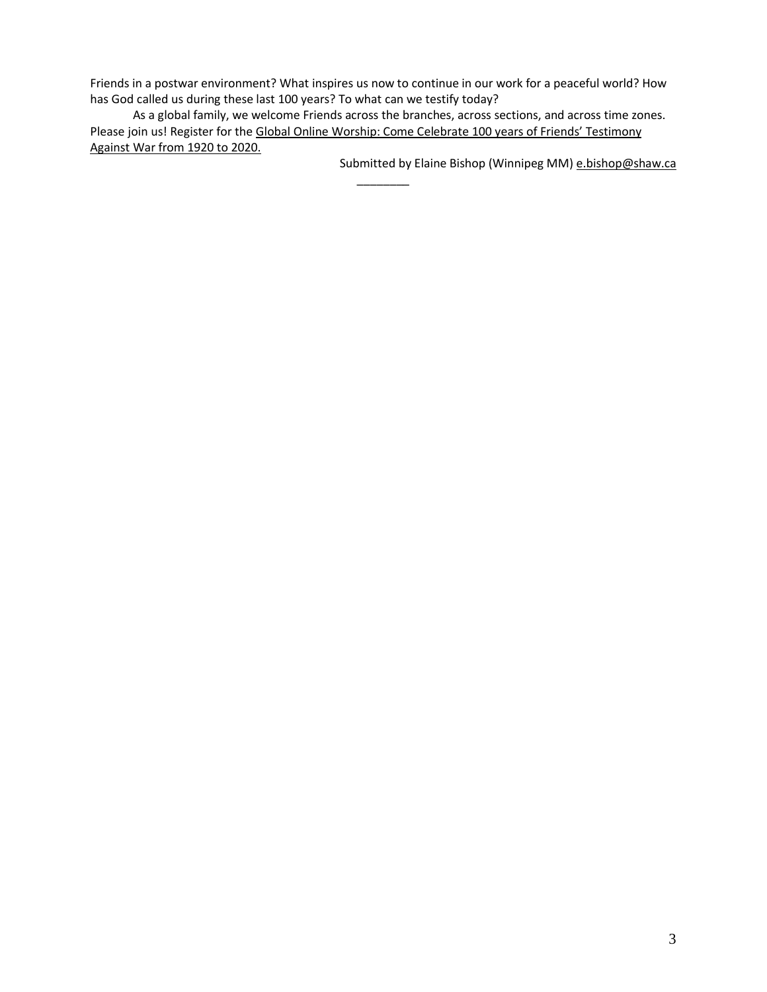Friends in a postwar environment? What inspires us now to continue in our work for a peaceful world? How has God called us during these last 100 years? To what can we testify today?

As a global family, we welcome Friends across the branches, across sections, and across time zones. Please join us! Register for the Global Online Worship: Come Celebrate 100 years of Friends' [Testimony](https://www.eventbrite.co.uk/e/global-online-worship-celebrating-100yrs-of-friends-testimony-against-war-tickets-110978943006) [Against](https://www.eventbrite.co.uk/e/global-online-worship-celebrating-100yrs-of-friends-testimony-against-war-tickets-110978943006) War from 1920 to 2020.

 $\overline{\phantom{a}}$ 

Submitted by Elaine Bishop (Winnipeg MM) [e.bishop@shaw.ca](mailto:e.bishop@shaw.ca)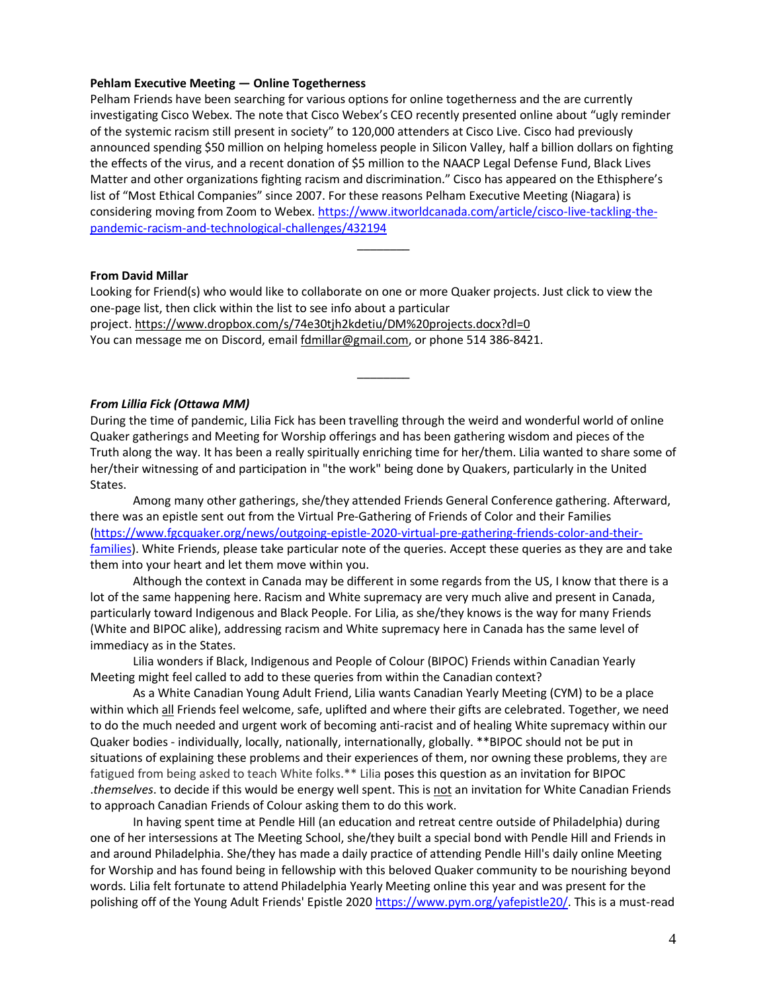### **Pehlam Executive Meeting — Online Togetherness**

Pelham Friends have been searching for various options for online togetherness and the are currently investigating Cisco Webex. The note that Cisco Webex's CEO recently presented online about "ugly reminder of the systemic racism still present in society" to 120,000 attenders at Cisco Live. Cisco had previously announced spending \$50 million on helping homeless people in Silicon Valley, half a billion dollars on fighting the effects of the virus, and a recent donation of \$5 million to the NAACP Legal Defense Fund, Black Lives Matter and other organizations fighting racism and discrimination." Cisco has appeared on the Ethisphere's list of "Most Ethical Companies" since 2007. For these reasons Pelham Executive Meeting (Niagara) is considering moving from Zoom to Webex. [https://www.itworldcanada.com/article/cisco-live-tackling-the](https://www.itworldcanada.com/article/cisco-live-tackling-the-pandemic-racism-and-technological-challenges/432194)[pandemic-racism-and-technological-challenges/432194](https://www.itworldcanada.com/article/cisco-live-tackling-the-pandemic-racism-and-technological-challenges/432194)

\_\_\_\_\_\_\_\_

#### **From David Millar**

Looking for Friend(s) who would like to collaborate on one or more Quaker projects. Just click to view the one-page list, then click within the list to see info about a particular project. <https://www.dropbox.com/s/74e30tjh2kdetiu/DM%20projects.docx?dl=0> You can message me on Discord, email [fdmillar@gmail.com,](mailto:fdmillar@gmail.com) or phone 514 386-8421.

### *From Lillia Fick (Ottawa MM)*

During the time of pandemic, Lilia Fick has been travelling through the weird and wonderful world of online Quaker gatherings and Meeting for Worship offerings and has been gathering wisdom and pieces of the Truth along the way. It has been a really spiritually enriching time for her/them. Lilia wanted to share some of her/their witnessing of and participation in "the work" being done by Quakers, particularly in the United States.

\_\_\_\_\_\_\_\_

Among many other gatherings, she/they attended Friends General Conference gathering. Afterward, there was an epistle sent out from the Virtual Pre-Gathering of Friends of Color and their Families [\(https://www.fgcquaker.org/news/outgoing-epistle-2020-virtual-pre-gathering-friends-color-and-their](https://www.fgcquaker.org/news/outgoing-epistle-2020-virtual-pre-gathering-friends-color-and-their-families)[families\)](https://www.fgcquaker.org/news/outgoing-epistle-2020-virtual-pre-gathering-friends-color-and-their-families). White Friends, please take particular note of the queries. Accept these queries as they are and take them into your heart and let them move within you.

Although the context in Canada may be different in some regards from the US, I know that there is a lot of the same happening here. Racism and White supremacy are very much alive and present in Canada, particularly toward Indigenous and Black People. For Lilia, as she/they knows is the way for many Friends (White and BIPOC alike), addressing racism and White supremacy here in Canada has the same level of immediacy as in the States.

Lilia wonders if Black, Indigenous and People of Colour (BIPOC) Friends within Canadian Yearly Meeting might feel called to add to these queries from within the Canadian context?

As a White Canadian Young Adult Friend, Lilia wants Canadian Yearly Meeting (CYM) to be a place within which all Friends feel welcome, safe, uplifted and where their gifts are celebrated. Together, we need to do the much needed and urgent work of becoming anti-racist and of healing White supremacy within our Quaker bodies - individually, locally, nationally, internationally, globally. \*\*BIPOC should not be put in situations of explaining these problems and their experiences of them, nor owning these problems, they are fatigued from being asked to teach White folks.\*\* Lilia poses this question as an invitation for BIPOC .*themselves*. to decide if this would be energy well spent. This is not an invitation for White Canadian Friends to approach Canadian Friends of Colour asking them to do this work.

In having spent time at Pendle Hill (an education and retreat centre outside of Philadelphia) during one of her intersessions at The Meeting School, she/they built a special bond with Pendle Hill and Friends in and around Philadelphia. She/they has made a daily practice of attending Pendle Hill's daily online Meeting for Worship and has found being in fellowship with this beloved Quaker community to be nourishing beyond words. Lilia felt fortunate to attend Philadelphia Yearly Meeting online this year and was present for the polishing off of the Young Adult Friends' Epistle 2020 [https://www.pym.org/yafepistle20/.](https://www.pym.org/yafepistle20/) This is a must-read